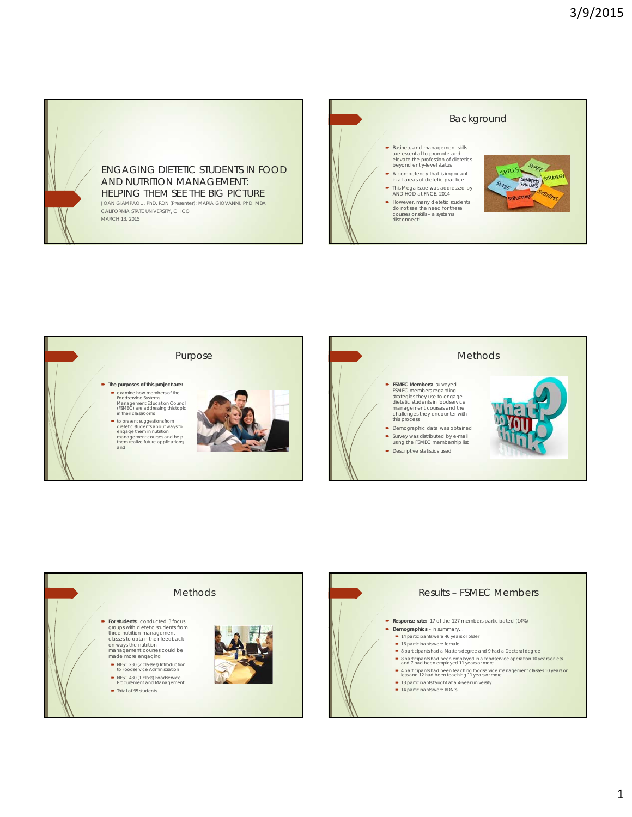







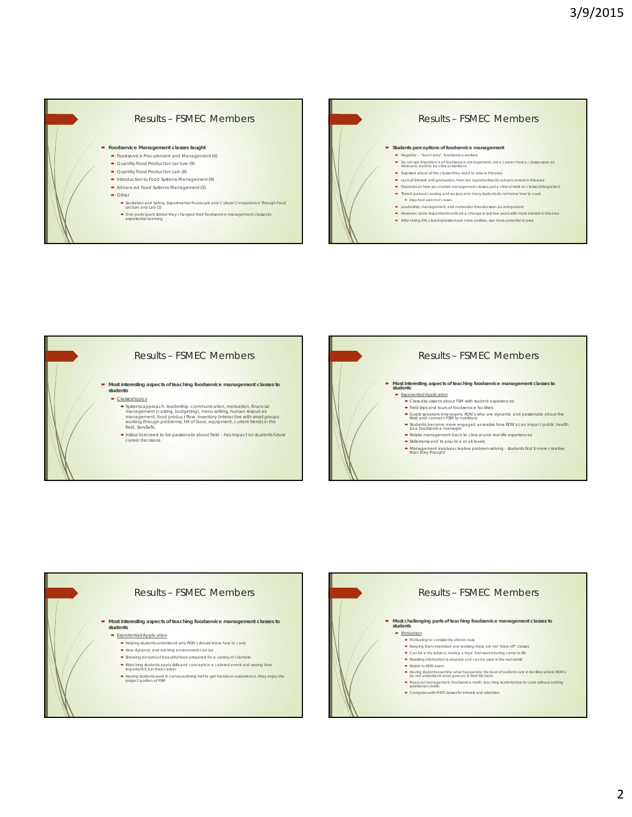









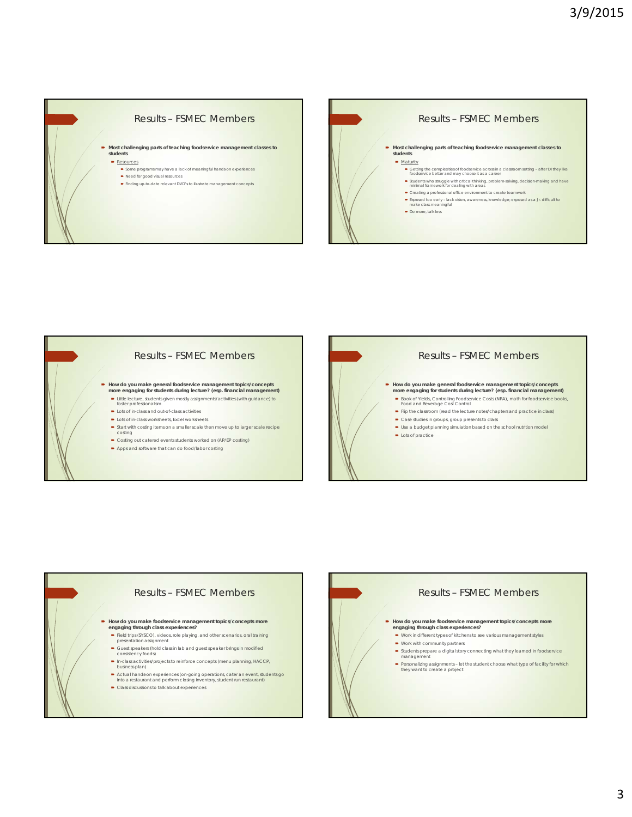## Results – FSMEC Members

**Most challenging parts of teaching foodservice management classes to students** Resources

## Some programs may have a lack of meaningful hands-on experiences

- Need for good visual resources Finding up-to-date relevant DVD's to illustrate management concepts
- 









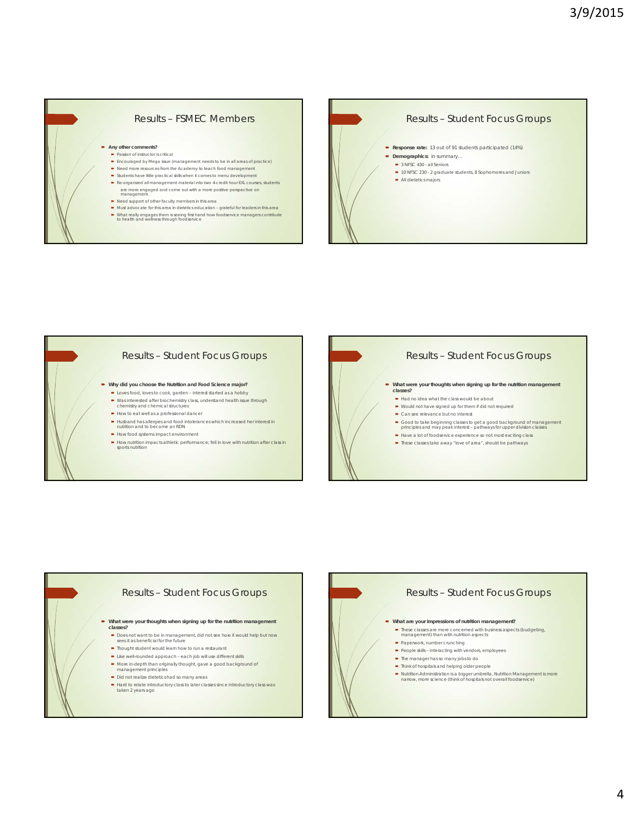









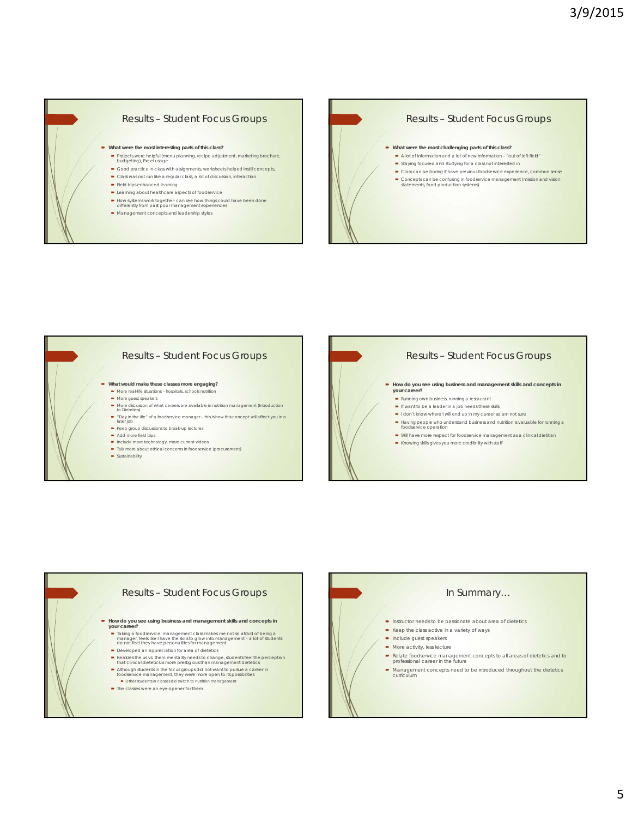## Results – Student Focus Groups

- **What were the most interesting parts of this class?**
	- Projects were helpful (menu planning, recipe adjustment, marketing brochure, budgeting), Excel usage Good practice in-class with assignments, worksheets helped instill concepts,
	- Class was not run like a regular class, a lot of discussion, interaction
	- Field trips enhanced learning
	- **-** Learning about healthcare aspects of foodservice
- How systems work together- can see how things could have been done differently from past poor management experiences
- Management concepts and leadership styles









## In Summary…  $\blacksquare$  Instructor needs to be passionate about area of dietetics  $\blacktriangleright$  Keep the class active in a variety of ways  $\blacksquare$  Include guest speakers • More activity, less lecture Relate foodservice management concepts to all areas of dietetics and to professional career in the future Management concepts need to be introduced throughout the dietetics curriculum